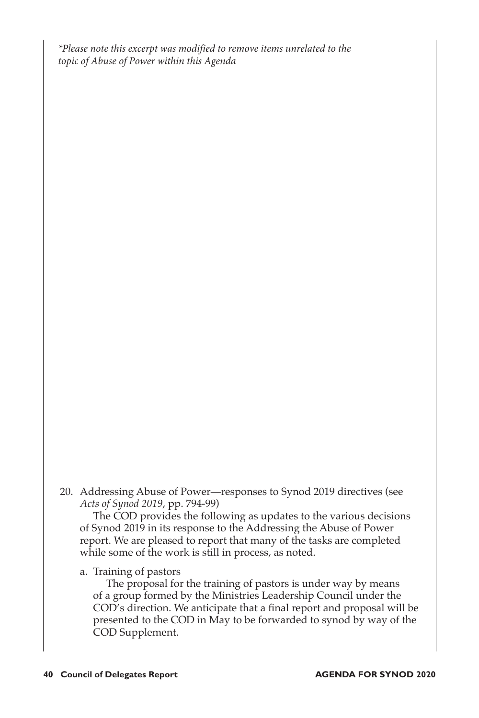*\*Please note this excerpt was modified to remove items unrelated to the topic of Abuse of Power within this Agenda*

20. Addressing Abuse of Power—responses to Synod 2019 directives (see *Acts of Synod 2019*, pp. 794-99)

The COD provides the following as updates to the various decisions of Synod 2019 in its response to the Addressing the Abuse of Power report. We are pleased to report that many of the tasks are completed while some of the work is still in process, as noted.

a. Training of pastors

The proposal for the training of pastors is under way by means of a group formed by the Ministries Leadership Council under the COD's direction. We anticipate that a final report and proposal will be presented to the COD in May to be forwarded to synod by way of the COD Supplement.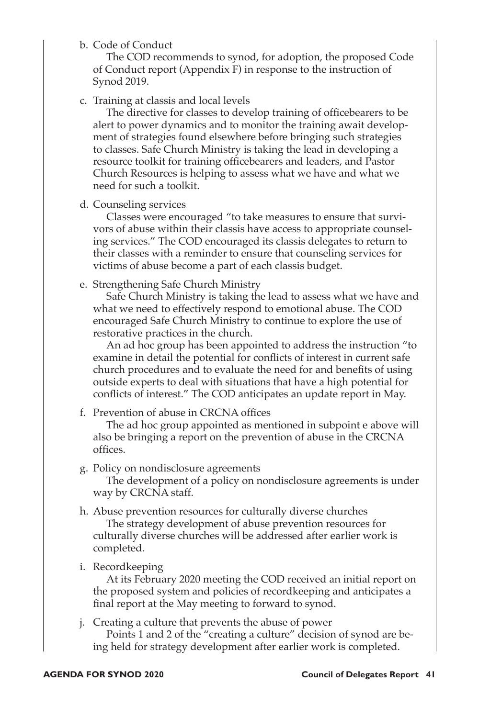### b. Code of Conduct

The COD recommends to synod, for adoption, the proposed Code of Conduct report (Appendix F) in response to the instruction of Synod 2019.

### c. Training at classis and local levels

The directive for classes to develop training of officebearers to be alert to power dynamics and to monitor the training await development of strategies found elsewhere before bringing such strategies to classes. Safe Church Ministry is taking the lead in developing a resource toolkit for training officebearers and leaders, and Pastor Church Resources is helping to assess what we have and what we need for such a toolkit.

### d. Counseling services

Classes were encouraged "to take measures to ensure that survivors of abuse within their classis have access to appropriate counseling services." The COD encouraged its classis delegates to return to their classes with a reminder to ensure that counseling services for victims of abuse become a part of each classis budget.

### e. Strengthening Safe Church Ministry

Safe Church Ministry is taking the lead to assess what we have and what we need to effectively respond to emotional abuse. The COD encouraged Safe Church Ministry to continue to explore the use of restorative practices in the church.

An ad hoc group has been appointed to address the instruction "to examine in detail the potential for conflicts of interest in current safe church procedures and to evaluate the need for and benefits of using outside experts to deal with situations that have a high potential for conflicts of interest." The COD anticipates an update report in May.

# f. Prevention of abuse in CRCNA offices

The ad hoc group appointed as mentioned in subpoint e above will also be bringing a report on the prevention of abuse in the CRCNA offices.

### g. Policy on nondisclosure agreements

The development of a policy on nondisclosure agreements is under way by CRCNA staff.

h. Abuse prevention resources for culturally diverse churches The strategy development of abuse prevention resources for culturally diverse churches will be addressed after earlier work is completed.

# i. Recordkeeping

At its February 2020 meeting the COD received an initial report on the proposed system and policies of recordkeeping and anticipates a final report at the May meeting to forward to synod.

## j. Creating a culture that prevents the abuse of power Points 1 and 2 of the "creating a culture" decision of synod are being held for strategy development after earlier work is completed.